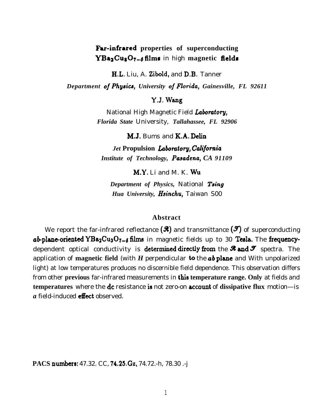## **Fhr-infrared properties of superconducting** YBa<sub>2</sub>Cu<sub>2</sub>O<sub>7-6</sub> films in high magnetic fields

H.L. Liu, A. Zibold, and D.B. Tanner

*Department ojPhynica, University ojFlotida, Gainesville, FL 92611*

Y.J. Wang

National High Magnetic Field *Labomtory, Florida State* University, *Tallahassee, FL 92906*

M.J. Bums and *K.A. Delin*

*Jet* **Propulsion** *Labomtory,* Cafifomia *Institute of Technology, Pasadena, CA 91109* 

*M.Y.* Li and M. K. Wu

*Department of Physics,* National *Tsing Hua University, Hsinchu,* Taiwan S00

## **Abstract**

We report the far-infrared reflectance  $(\mathcal{R})$  and transmittance  $(\mathcal{I})$  of superconducting  $ab$ -plane-oriented YBa<sub>2</sub>Cu<sub>3</sub>O<sub>7-6</sub> films in magnetic fields up to 30 Tesla. The frequencydependent optical conductivity is **determined directly from** the **A and S** spectra. The application of magnetic field (with  $H$  perpendicular to the  $ab$  plane and With unpolarized light) at low temperatures produces no discernible field dependence. This observation differs from other **previous** far-infrared measurements in this **temperature range. Only** at fields and **temperatures** where the **dc** resistance is not zero-on **account** of **dissipative flux** motion—is *a* field-induced **effect** observed.

**PACS** numbers: 47.32. CC, 74.25.Gz, 74.72.-h, 78.30 .-j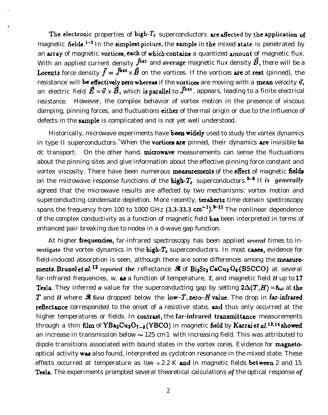The electronic properties of high- $T_c$  superconductors are affected by the application of magnetic fields.<sup>1-3</sup> In the simplest picture, the sample in the mixed state is penetrated by an array of magnetic vortices, each of which contains a quantized amount of magnetic flux. With an applied current density  $\vec{J}^{\text{ext}}$  and average magnetic flux density  $\vec{B}$ , there will be a **Lorentz** force density  $\vec{f} = \vec{J}^{\text{ext}} \times \vec{B}$  on the vortices. If the vortices are at rest (pinned), the resistance will be effectively zero whereas if the vortices are moving with a mean velocity  $\vec{v}$ , an electric field  $\vec{E} = \vec{v} \times \vec{B}$ , which is parallel to  $\vec{J}^{\text{ext}}$ , appears, leading to a finite electrical resistance. However, the complex behavior of vortex motion in the presence of viscous damping, pinning forces, and fluctuations *either* of thermal origin or due to the influence of defects in the sample is complicated and is not yet well understood.

Historically, microwave experiments have been widely used to study the vortex dynamics in type II superconductors.<sup>4</sup>When the **vortices are** pinned, their dynamics are invisible to dc transport. On the other hand,  $\frac{m}{\alpha}$  mightarrow measurements can sense the fluctuations about the pinning sites and give information about the effective pinning force constant and vortex viscosity. There have been numerous **measurements** of the **effect** of magnetic **fields** on the microwave response functions of the **high-** $T_c$  superconductors.<sup>5-8</sup> It *is generally* agreed that the microwave results are affected by two mechanisms: vortex motion and superconducting condensate depletion. More recently, **terahertz** time domain spectroscopy spans the frequency from 100 to 1000 GHz  $(3.3-33.3 \text{ cm}^{-1})$ .  $9-11$  The nonlinear dependence of the complex conductivity as a function of magnetic field has been interpreted in terms of enhanced pair breaking due to nodea in a d-wave gap function.

At higher **frequencies**, far-infrared spectroscopy has been applied *several* times to in**vestigate** the vortex dynamics in the high-T<sub>c</sub> superconductors. In most cases, evidence for field-induced absorption is seen, although there are some differences among the measurements. Brunel *et al.* <sup>12</sup> reported the reflectance  $\Re$  of Bi<sub>2</sub>Sr<sub>2</sub> CaCu<sub>2</sub> O<sub>8</sub> (BSCCO) at several far-infrared frequencies, w, as a function of temperature, *T,* and magnetic field *H* up to 17 Tesla. They inferred *a* value for the superconducting gap by setting  $2\Delta(T,H) = \hbar\omega$  at the T and *H* where  $\mathcal{R}$  **first** dropped below the low-T, zero-H value. The drop in far-infrared reflectzmce corresponded to the onset of **a** resistive state, and thus only occurred at the higher temperatures or fields. In **contrast**, the far-infrared **transmittance** measurements through a thin film of  $YBa_2Cu_3O_{7-\delta}$  (YBCO) in magnetic field by Karrai et al.<sup>13,14</sup> showed an increase in transmission below  $\sim$  125 cm 1 with increasing field. This was attributed to dipole transitions associated with bound states in the vortex cores. Evidence for magnetooptical activity was also found, interpreted as cyclotron resonance in the mixed state. These effects occurred at temperature as low  $M2.2$  K and in magnetic fields between 2 and 15 Tesla. The experiments prompted several theoretical calculations *of* the optical response *of*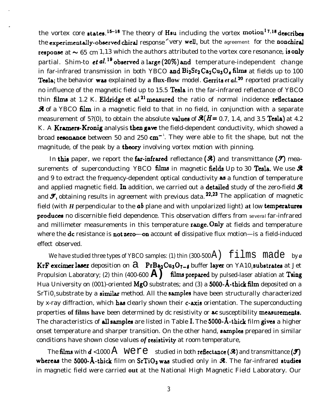the vortex core states.<sup>15-18</sup> The theory of Hsu including the vortex motion<sup>17,18</sup> describes the experimentally-observed chiral response "very well, but the agreement for the *nonchiral* response at  $\thicksim 65\,$  cm  $1.13$  which the authors attributed to the vortex core resonance, is only partial. Shim-to  $et al.<sup>19</sup>$  observed a large (20%) and temperature-independent change in far-infrared transmission in both YBCO and  $Bi_2Sr_2Ca_2Cu_3O$ , films at fields up to 100 Tesla; the behavior was explained by a flux-flow model. Gerrits *et al.*<sup>20</sup> reported practically no influence of the magnetic field up to 15.5 Tesla in the far-infrared reflectance of YBCO thin films at 1.2 K. Eldridge et  $al^{21}$  measured the ratio of normal incidence reflectance **A** of a YBCO film in a magnetic field to that in no field, in conjunction with a separate measurement of 5?(0), to obtain the absolute values of  $\mathcal{R}(H= 0.7, 1.4, \text{ and } 3.5 \text{ Tesla})$  at 4.2 K. A Kramers-Kronig analysis then gave the field-dependent conductivity, which showed a broad **resonance** between 50 and 250 cm<sup>-1</sup>. They were able to fit the shape, but not the magnitude, of the peak by a **theory** involving vortex motion with pinning.

In this paper, we report the far-infrared reflectance  $(\mathcal{R})$  and transmittance  $(\mathcal{I})$  measurements of superconducting YBCO films in magnetic fields Up to 30 Tesla. We use  $\mathcal{R}$ and 9 to extract the frequency-dependent optical conductivity  $\Delta s$  a function of temperature and applied magnetic field. In addition, we carried out a detailed study of the zero-field  $\mathcal{R}$ and  $\mathcal{F}$ , obtaining results in agreement with previous data.  $^{22,23}$  The application of magnetic field (with *H* perpendicular to the  $ab$  plane and with unpolarized light) at low temperatures produces no discernible field dependence. This observation differs from several far-infrared and millimeter measurements in this temperature range. Only at fields and temperature where the **dc** resistance is not zero-on account of dissipative flux motion—is a field-induced effect observed.

We have studied three types of YBCO samples: (1) thin  $(300-500 \text{ Å})$   $\text{films}$  made by *a* KrF excimer laser deposition on  $\partial$  PrBa<sub>2</sub>Cu<sub>3</sub>O<sub>7-6</sub> buffer layer on YA10, substrates at Jet Propulsion Laboratory; (2) thin (400-600  $\bf{A}$ ) films prepared by pulsed-laser ablation at Tsing Hua University on (001)-oriented  $MgO$  substrates; and (3) a 5000- $\AA$ -thick film deposited on a SrTi0, substrate by a similar method. All the samples have been structurally characterized by x-ray diffraction, which has clearly shown their c-axis orientation. The superconducting properties of films have been determined by dc resistivity or ac susceptibility measurements. The characteristics of all samples are listed in Table I. The 5000- $\AA$ -thick film gives a higher onset temperature and sharper transition. On the other hand, samples prepared in similar conditions have shown close values *of* resistivity at room temperature,

The films with  $d < 1000$  A Were studied in both reflectance ( $\mathcal{R}$ ) and transmittance ( $\mathcal{F}$ ) whereas the 5000-A-thick film on SrTiO<sub>3</sub> was studied only in  $\mathcal{R}$ . The far-infrared studies in magnetic field were carried **out** at the National High Magnetic Field Laboratory. Our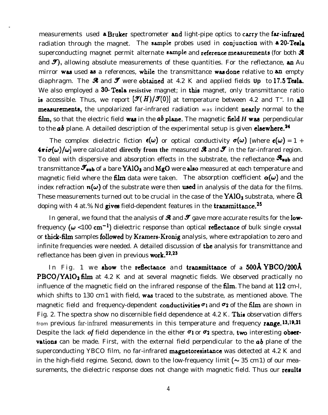measurements used a Bruker spectrometer and light-pipe optics to carry the far-infrared radiation through the magnet. The sample probes used in conjunction with a 20-Tesla superconducting magnet permit alternate sample and reference measurements (for both  $\mathcal R$ and  $\mathcal{I}$ , allowing absolute measurements of these quantities. For the reflectance, an Au mirror was used as a references, while the transmittance was done relative to an empty diaphragm. The  $\mathcal{R}$  and  $\mathcal{F}$  were obtained at 4.2 K and applied fields  $\mathbb{U}_P$  to 17.5 Tesla. We also employed a 30- Tesla resistive magnet; in this magnet, only transmittance ratio is accessible. Thus, we report  $[\mathcal{I}(H)/\mathcal{I}(0)]$  at temperature between 4.2 and T". In all measurements, the unpolarized far-infrared radiation was incident nearly normal to the film, so that the electric field was in the  $ab$  plane. The magnetic field  $H$  was perpendicular to the  $ab$  plane. A detailed description of the experimental setup is given **elsewhere.**<sup>24</sup>

The complex dielectric fiction  $\epsilon(\omega)$  or optical conductivity  $\sigma(\omega)$  [where  $\epsilon(\omega) = 1 + \epsilon(\omega)$  $4\pi i\sigma(\omega)/\omega$  were calculated **directly from the** measured **A** and **S** in the far-infrared region. To deal with dispersive and absorption effects in the substrate, the reflectance  $\mathcal{R}_{sub}$  and transmittance  $\mathcal{I}_{sub}$  of a bare YA10<sub>3</sub> and MgO were also measured at each temperature and magnetic field where the film data were taken. The absorption coefficient  $\alpha(\omega)$  and the index refraction  $n(\omega)$  of the substrate were then used in analysis of the data for the films. These measurements turned out to be crucial in the case of the  $YAlO<sub>3</sub>$  substrata, where  $\partial$ doping with 4 at.% Nd gives field-dependent features in the transmittance.<sup>25</sup>

In general, we found that the analysis of  $\Re$  and  $\Im$  gave more accurate results for the lowfrequency  $(\omega < 100$  cm<sup>-1</sup>) dielectric response than optical **reflectance** of bulk single **crystal** or thick-film samples followed by Kramers-Kronig analysis, where extrapolation to zero and infinite frequencies were needed. A detailed discussion of the analysis for transmittance and reflectance has been given in previous work.<sup>22,23</sup>

In Fig. 1 we show the reflectance and transmittance of a 500Å YBCO/200Å PBCO/YAlO<sub>3</sub> film at 4.2 K and at several magnetic fields. We observed practically no influence of the magnetic field on the infrared response of the **film**. The band at 112 cm-l, which shifts to 130 cm 1 with field, was traced to the substrate, as mentioned above. The magnetic field and frequency-dependent conductivities  $\sigma_1$  and  $\sigma_2$  of the film are shown in Fig. 2. The spectra show no discernible field dependence at 4.2 K. Thie observation differs from previous *far-infrared* measurements in this temperature and frequency range. 13,19,21 Despite the lack of field dependence in the either  $\sigma_1$  or  $\sigma_2$  spectra, two interesting obser**vations** can be made. First, with the external field perpendicular to the  $ab$  plane of the superconducting YBCO film, no far-infrared magnetoresistance was detected at 4.2 K and in the high-field regime. Second, down to the low-frequency limit ( $\sim$  35 cm 1) of our measurements, the dielectric response does not change with magnetic field. Thus our results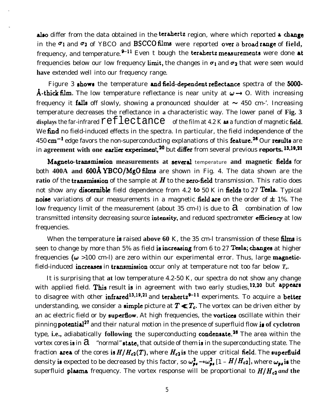also differ from the data obtained in the terahertz region, where which reported a change in the  $\sigma_1$  and  $\sigma_2$  of YBCO and BSCCO films were reported over a broad range of field, frequency, and temperature. $^{9-11}$  Even t bough the terahertz measurements were done at frequencies below our low frequency limit, the changes in  $\sigma_1$  and  $\sigma_2$  that were seen would **have** extended well into our frequency range.

Figure 3 shows the temperature and field-dependent reflectance spectra of the 5000-**A-thick film.** The low temperature reflectance is near unity at  $\omega \rightarrow 0$ . With increasing frequency it falls off slowly, showing a pronounced shoulder at  $\sim$  450 cm-'. Increasing temperature decreases the reflectance in **a** characteristic way. The lower panel of **Fig. 3** displays the far-infrared  $\texttt{reflecatance}$  of the film at 4.2 K as a function of magnetic field. We find no field-induced effects in the spectra. In particular, the field independence of the 450  $cm^{-1}$  edge favors the non-superconducting explanations of this **feature.<sup>26</sup>** Our **results** are in agreement with one earlier experiment,<sup>20</sup> but differ from several previous reports. 13,19,21

Magneto-transmission measurements at several temperature and magnetic fields for both **400A and 600Å YBCO/MgO films** are shown in Fig. 4. The data shown are the **ratio** of the **transmission** of the sample at  $H$  to the **zero-field** transmission. This ratio does not show any discernible field dependence from 4.2 to 50 K in fields to 27 Tesla. Typical noise variations of our measurements in a magnetic field are on the order of  $\pm$  1%. The low frequency limit of the measurement (about 35 cm-l) is due to  $a$  combination of low transmitted intensity decreasing source intensity, and reduced spectrometer efficiency at low frequencies.

When the temperature is raised above 60 K, the 35 cm-l transmission of these films is seen to change by more than 5% as field **is increasing** from 6 to 27 Tesla; changes at higher frequencies ( $\omega$  >100 cm-l) are zero within our experimental error. Thus, large magneticfield-induced increases in transmission occur only at temperature not too far below  $T<sub>1</sub>$ .

It is surprising that **at** low temperature 4.2-50 K, our spectra do not show any change with applied field. This result is in agreement with two early studies, 12,20 but appears to disagree with other infrared<sup>13,19,21</sup> and terahertz<sup>9-11</sup> experiments. To acquire a better understanding, we consider a **simple** picture at  $T \ll T_c$ . The vortex can be driven either by an ac electric field or by superflow. At high frequencies, the vortices oscillate within their pinning potentia127 and their natural motion in the presence of superfluid flow is **of cyclotron** type, **i.e.,** adiabatically **following** the superconducting condensate.26 The area within the vortex cores is in  $\partial$  "normal" state, that outside of them is in the superconducting state. The fraction area of the cores is  $H/H_{c2}(T)$ , where  $H_{c2}$  is the upper critical field. The superfluid density is expected to be decreased by this factor, so  $\omega_{p,q}^2 \to \omega_{p,q}^2$  [1 –  $H/H_{c2}$ ], where  $\omega_{p,q}$  is the superfluid **plasma** frequency. The vortex response will be proportional to  $H/H_{c2}$  and the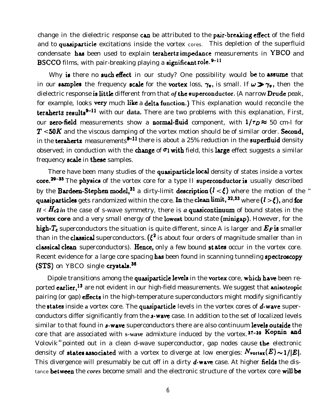change in the dielectric response can be attributed to the pair-breaking effect of the field and to quasiparticle excitations inside the vortex cores. This depletion of the superfluid condensate has been used to explain terahertz impedance measurements in YBCO and BSCCO films, with pair-breaking playing a significant role.  $9-11$ 

Why is there no such effect in our study? One possibility would be to assume that in our samples the frequency scale for the vortex loss,  $\gamma_v$ , is small. If  $\omega \gg \gamma_v$ , then the dielectric response is little different from that *of* the superconductor. (A narrow Drude peak, for example, looks very much like a delta function.) This explanation would reconcile the terahertz results<sup>9-11</sup> with our data. There are two problems with this explanation, First, our **zero-field** measurements show a **normal-fluid** component, with  $1/\tau_D \approx 50$  cm-l for  $T < 50K$  and the viscous damping of the vortex motion should be of similar order. Second, in the **terahertz** measurements<sup> $9-11$ </sup> there is about a 25% reduction in the superfluid density observed; in conduction with the change of  $\sigma_1$  with field, this large effect suggests a similar frequency scale in these samples.

There have been many studies of the quasiparticle local density of states inside a vortex  $\text{core.}^{29-35}$  The physics of the vortex core for a type II superconductor is usually described by the Bardeen-Stephen model,<sup>31</sup> a dirty-limit description  $(l < \xi)$  where the motion of the " quasiparticles gets randomized within the core. In the clean limit,  $32,33$  where  $(l > \xi)$ , and for  $H < H_c 2$  in the case of s-wave symmetry, there is *a* quasicontinuum of bound states in the **vortex core** and a very small energy of the lowest bound state (minigap). However, for the high- $T_c$  superconductors the situation is quite different, since A is larger and  $E_F$  is smaller than in the **classical** superconductors. ( $\xi^2$  is about four orders of magnitude smaller than in classical clean superconductors). Hence, only a few bound states occur in the vortex core. Recent evidence for a large core spacing has been found in scanning tunneling spectroscopy (STS) on YBCO single crystals.<sup>36</sup>

Dipole transitions among the quasiparticle levels in the vortex core, which have been reported earlier,<sup>13</sup> are not evident in our high-field measurements. We suggest that anisotropic pairing (or gap) effects in the high-temperature superconductors might modify significantly the **states** inside **a** vortex core. The quasiparticle levels in the vortex cores of d-wave superconductors differ significantly from the  $\boldsymbol{s}$ -wave case. In addition to the set of localized levels similar to that found in s-wave superconductors there are also continuum levels outside the core that are associated with **s-wave** admixture induced by the vortex. 37-39 Kopnin and Volovik<sup>40</sup> pointed out in a clean d-wave superconductor, gap nodes cause the electronic density of states associated with a vortex to diverge at low energies:  $N_{\text{vortex}}(E) \sim 1/|E|$ . This divergence will presumably be cut off in a dirty **d-wave** case. At higher **fields** the distance between the *cores* become small and the electronic structure of the vortex core will be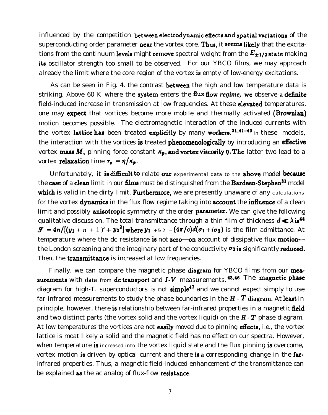influenced by the competition between electrodynamic effects and spatial variations of the superconducting order parameter near the vortex core. Thus, it seems likely that the excitations from the continuum levels might remove spectral weight from the  $E_{\pm 1/2}$  state making its oscillator strength too small to be observed. For our YBCO films, we may approach already the limit where the core region of the vortex is empty of low-energy excitations.

As can be seen in Fig. 4. the contrast **between** the high and low temperature data is striking. Above 60 K where the **system** enters the **flux flow** *regime*, we observe a definite field-induced increase in transmission at low frequencies. At these **elevated** temperatures, one may expect that vortices become more mobile and thermally activated (Brownian) motion becomes possible. The electromagnetic interaction of the induced currents with the vortex lattice has been treated explicitly by many workers.<sup>31,41-43</sup> In these models, the interaction with the vortices is treated phenomenologically by introducing an effective vortex mass M, pinning force constant  $\kappa_p$ , and vortex viscosity  $\eta$ . The latter two lead to a vortex **relaxation** time  $\tau_v = \eta/\kappa_p$ .

Unfortunately, it is difficult to relate our experimental data to the above model because the case of a clean limit in our films must be distinguished from the Bardeen-Stephen<sup>31</sup> model which is valid in the dirty limit. Furthermore, we are presently unaware of any calculations for the vortex dynamics in the flux flow regime taking into account the influence of a clean limit and possibly **anisotropic** symmetry of the order **parameter**. We can give the following qualitative discussion. The total transmittance through a thin film of thickness  $d \ll \lambda$  is<sup>44</sup>  $\mathcal{F} = 4n/[(y_1+n+1)^2 + y_2^2]$  where  $y_1 + \varepsilon_2 = (4\pi/c)d(\sigma_1 + i\sigma_2)$  is the film admittance. At temperature where the dc resistance is not zero—on account of dissipative flux motion the London screening and the imaginary part of the conductivity  $\sigma_2$  is significantly reduced. Then, the **transmittance** is increased at low frequencies.

Finally, we can compare the magnetic phase diagram for YBCO films from our measurements with data from dc transport and  $I-V$  measurements. 45,46 The magnetic phase diagram for high-T. superconductors is not  $\sinh^{-1}$  and we cannot expect simply to use far-infrared measurements to study the phase boundaries in the *H - T* **diagram.** At least in principle, however, there is relationship between far-infrared properties in a magnetic field and two distinct parts (the vortex solid and the vortex liquid) on the *H - T* phase diagram. At low temperatures the vortices are not easily moved due to pinning effects, i.e., the vortex lattice is moat likely a solid and the magnetic field has no effect on our spectra. However, when temperature is increased into the vortex liquid state and the flux pinning is overcome, vortex motion is driven by optical current and there is a corresponding change in the farinfrared properties. Thus, a magnetic-field-induced enhancement of the transmittance can be explained as the ac analog of flux-flow resistance.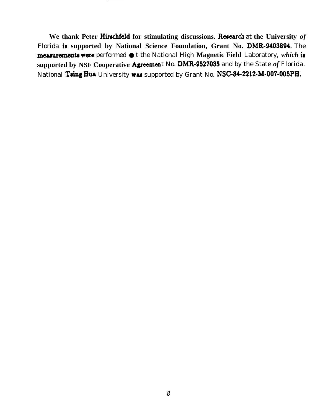We thank Peter Hirschfeld for stimulating discussions. Research at the University of Florida is supported by National Science Foundation, Grant No. DMR-9403894. The measurements were performed  $\bullet$  t the National High Magnetic Field Laboratory, which is supported by NSF Cooperative Agreement No. DMR-9527035 and by the State of Florida. National Tsing Hua University was supported by Grant No. NSC-84-2212-M-007-005PH.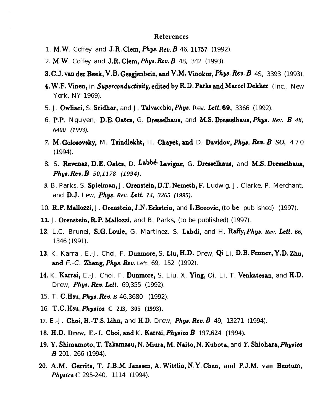## **References**

- 1. M.W. Coffey and J.R. Clem, *Phys. Rev. B* 46, 11757 (1992).
- 2. M.W. Coffey and **J.R. Clem,** *Phys. Rev. B* 48, 342 (1993).
- 3. C.J. van der Beek, V.B. Gesgjenbein, and V.M. Vinokur, Phys. Rev. B 4S, 3393 (1993).
- 4. W.F. Vinen, in Superconductivity, edited by R.D. Parks and Marcel Dekker (Inc., New York, NY 1969).
- 5. J. Owliaei, S. Sridhar, and J. Talvacchio, Phys. Rev. Lett. 69, 3366 (1992).
- 6. P.P. Nguyen, D.E. Oates, G. Dresselhaus, and M.S. Dresselhaus, *Phys. Rev. B 48*, *6400 (1993).*
- *7. M. Goloeovsky,* M. Taindlekht, H. Chayet, and D. Davidov, *Phys. Rev. B SO,* 4 7 0 (1994).
- 8. S. Revenaz, D.E. Oates, D. Labbé Lavigne, G. Dresselhaus, and M.S. Dresselhaus, *Phys. Rev. B 50,1178 (1994).*
- *9.* B. Parks, S. Spielrnan, J. Oremtein, D.T. Nemeth, **F.** Ludwig, J. Clarke, P. Merchant, and D.J. Lew, *Phys. Rev. Lett. ?4, 3265 (1995).*
- 10. R.P. Mallozzi, J. Orenstein, J.N. Eckstein, and I. Bozovic, (to be published) (1997).
- **11.** J. Orenstein, R.P. Mallozzi, and B. Parks, (to be published) (1997).
- 12. L.C. Brunei, S.G. Louie, G. Martinez, S. Labdi, and H. Raffy, *Phys. Rev. Lett. 66*, 1346 (1991).
- 13. K. Karrai, E.-J. Choi, F. Dunmore, S. Liu, H.D. Drew, Qi Li, D.B. **Fenner,** Y.D. Zhu, and F.-C. Zhang, *Phys. Rev.* Left. 69, 152 (1992).
- 14. K. Kaxrai, E.-J. Choi, F. Dunmore, S. Liu, X. Ying, Qi. Li, T. Venkatezan, and H.D. Drew, *Phys. Rev. Lett.*  $69,355$  (1992).
- 15. T. **C.Hsu,** *Phys. Rev. B* 46,3680 (1992).
- 16. T.C. Hsu, *Phygicu* **C 213, 305 (1993).**
- **17.** E.-J. Choi, H.-T.S. Lihn, and H.D. Drew, *Phyu. Rev. B* 49, 13271 (1994).
- **18. H.D. Drew, E.-J. Choi, and** K. *Karrai,* Physicu B **197,624 (1994).**
- **19. Y. Shimamoto, T. Takamaou, N. Miura, M. Naito, N. Kubota,** and *Y.* Shiohara, *Physicu B* 201, 266 (1994).
- 20. **A.M. Gerrits, T. J.B.M. Jansoen, A. Wittlin, N!Y. Chen, and P.J.M. van Bentum, Physica** C 295-240, 1114 (1994).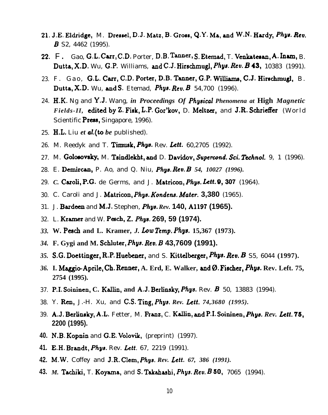- 21. J.E. Eldridge, M. Dressel, D.J. Matz, B. Gross, Q.Y. Ma, and W.N. Hardy, Phys. Rev. **B** S2, 4462 (1995).
- 22. F. Gao, G.L. Carr, C.D. Porter, D.B. Tanner, S. Etemad, T. Venkatesan, A. Inam, B. Dutta, X.D. Wu, G.P. Williams, and C.J. Hirschmugl, Phys. Rev. B 43, 10383 (1991).
- 23. F. Gao, G.L. Carr, C.D. Porter, D.B. Tanner, G.P. Williams, C.J. Hirschmugl, B. Dutta, X.D. Wu, and S. Etemad, Phys. Rev.  $B$  54,700 (1996).
- 24. H.K. Ng and Y.J. Wang, in Proceedings Of Physical Phenomena at High Magnetic *Fields-II*, edited by Z. Fisk, L.P. Gor'kov, D. Meltzer, and J.R. Schrieffer (World Scientific **Press**, Singapore, 1996).
- 25. H.L. Liu *et aL(to be* published).
- 26. M. Reedyk and T. **Timusk, Phys.** Rev. Lett. 60,2705 (1992).
- 27. M. Golosovsky, M. Tsindlekht, and D. Davidov, Supercond. Sci. Technol. 9, 1 (1996).
- 28. E. **Demircan,** P. Ao, and Q. Niu, *Phys. Rev. B 54, 10027 (1996)*.
- 29. C. Caroli, P.G. de Germs, and J. Matricon, *Phys. Lett.* 9, 307 (1964).
- 30. C. Caroli and J. **Matricon,** *Phya. Kondens.* Afater. **3,380** (1965).
- 31. J. Bardeen and M.J. Stephen, *Phya. Rev.* **140, A1197 (1965).**
- 32. L. Kramer and W. Pesch, **Z.** *Phys.* **269, 59 (1974).**
- *33.* **W. Pesch and L. Kramer,** *J. Low Temp. Phys.* **15,367 (1973).**
- *34.* **F. Gygi and M. %h.luter,** *Phys. Rev. B* **43,7609 (1991).**
- *35.* **S.G.** Doettinger, R.P. Huebener, and S. Kittelberger, Phw. Reu. B S5, 6044 **(1997).**
- 36. I. Maggio-Aprile, Ch. Renner, A. Erd, E. Walker, and Ø. Fischer, Phys. Rev. Left. 75, **2754 (1995).**
- 37. **P.I. Soininen, C. Kallin, and A.J. Berlinsky, Phys.** Rev. B 50, 13883 (1994).
- 38. Y. Ren, J.-H. Xu, and C.S. Ting, *Phys. Rev. Lett. 74,3680 (1995)*.
- 39. A.J. Berlinsky, A.L. Fetter, M. Ihnz, C. Kallin, and P.I. Soininen, *Phyu. Rev. Lett.* **76, 2200 (1995).**
- 40. N.B. Kopnin and G.E. Volovik, (preprint) (1997).
- **41.** E.H. Brandt, Phys. Rev. Lett. 67, 2219 (1991).
- **42.** M.W. Coffey and J.R. Clem, *Phys. Rev. Lett. 67, 386 (1991).*
- **43.** *M.* TA.iki, T. Koprna, and S. Takahashi, *Phys. Rev. B 50,* 7065 (1994).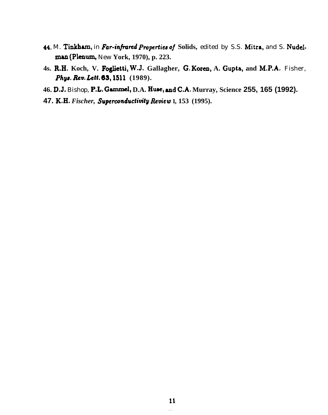- **44.** M. Tinkham, in **Far-infimd** *Prupertiea of* **Solids,** edited by S.S. Mitra, and S. Nudelman (Plenum, New York, 1970), p. 223.
- **4s. R.H. Koch, V. Foglietti, W.J. Gallagher, G. Koren, A.** Gupta, **and M.P.A.** Fisher, *Phys. Rev. Lett.* 63, 1511 (1989).
- **46.** D.J. Bishop, P.L. Gammel, **D.A. Huse, aud C.A. Murray, Science 255, 165 (1992).**
- **47. K.H.** Fischer, **Superconductivity Review 1, 153 (1995).**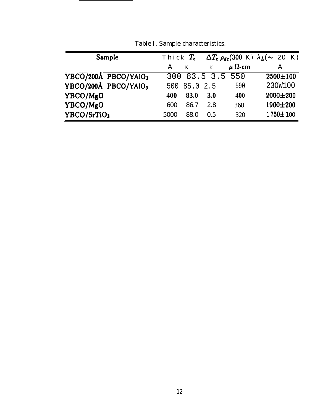| Sample               | Thick $T_c$  |          |            |                    | $\Delta T_c \rho_{dc}$ (300 K) $\lambda_L$ (~ 20 K) |
|----------------------|--------------|----------|------------|--------------------|-----------------------------------------------------|
|                      | $\mathbf{A}$ | K        | K          | $\mu$ $\Omega$ -cm | A                                                   |
| YBCO/200Å PBCO/YAIO3 |              |          |            | 300 83.5 3.5 550   | $2500 \pm 100$                                      |
| YBCO/200Å PBCO/YAIO3 | 500          | 85.0 2.5 |            | 590                | 230W100                                             |
| YBCO/MgO             | 400          | 83.0     | <b>3.0</b> | 400                | 2000±200                                            |
| YBCO/MgO             | 600          | 86.7     | 2.8        | 360                | 1900±200                                            |
| YBCO/SrTiO3          | 5000         | 88.0     | 0.5        | 320                | 1750±100                                            |

Table I. Sample characteristics.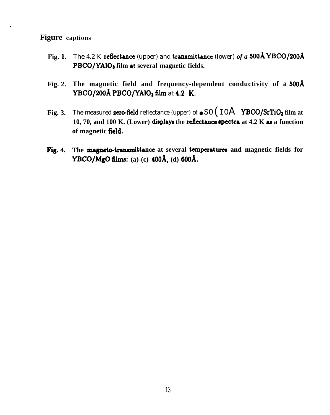## **Figure captions**

.

- Fig. 1. The 4.2-K **reflectance** (upper) and **transmittance** (lower) *of a* 500Å **YBCO/200Å** PBCO/YAIO<sub>3</sub> film at several magnetic fields.
- Fig. 2. The magnetic field and frequency-dependent conductivity of a 500Å **YBCO/200Å PBCO/YAIO<sub>3</sub> film at 4.2 K.**
- **Fig. 3.** The measured **zero-field** reflectance (upper) of  $\bullet$  SO ( $\text{IOA}$  **YBCO/SrTiO**<sub>3</sub> film at **10, 70, and 100 K. (Lower) displays the reflectance spectra at 4.2 K as a function of magnetic field.**
- Fig. 4. The magneto-transmittance at several temperatures and magnetic fields for **YBCO/MgO films: (a)-(c) 400& (d) 6(IoA.**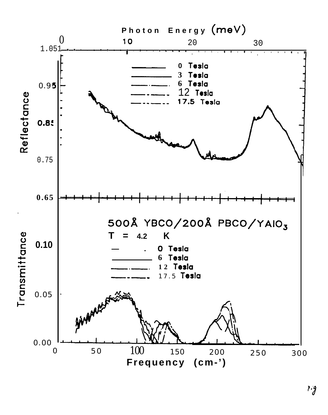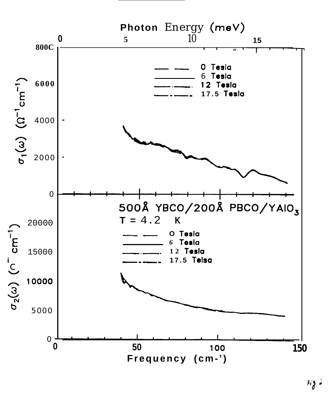

 $Fig. 2$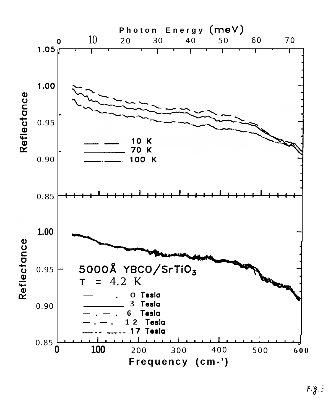

 $Fig. 5$